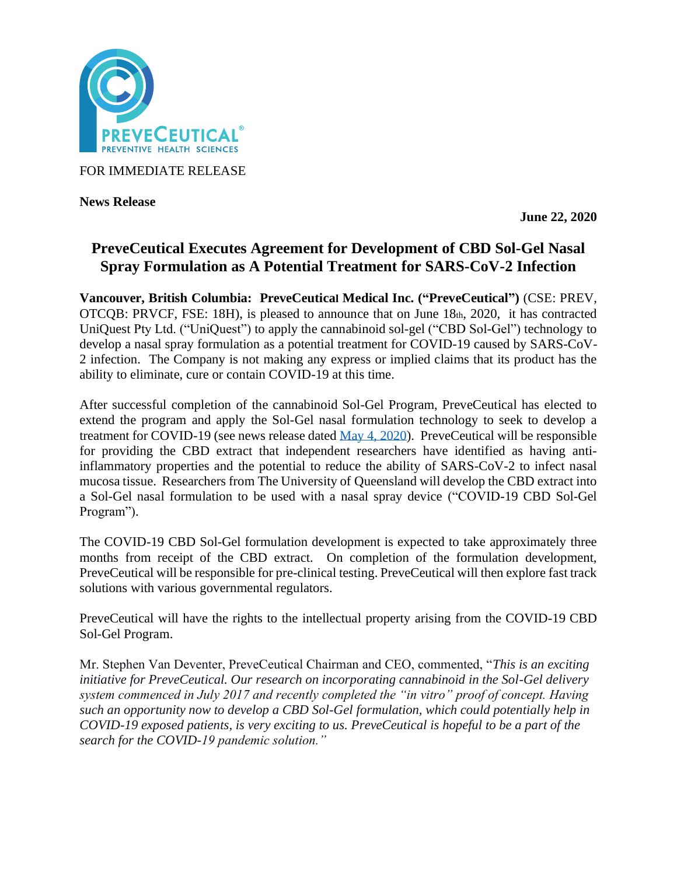

FOR IMMEDIATE RELEASE

**News Release** 

**June 22, 2020**

# **PreveCeutical Executes Agreement for Development of CBD Sol-Gel Nasal Spray Formulation as A Potential Treatment for SARS-CoV-2 Infection**

**Vancouver, British Columbia: PreveCeutical Medical Inc. ("PreveCeutical")** (CSE: PREV, OTCQB: PRVCF, FSE: 18H), is pleased to announce that on June 18th, 2020, it has contracted UniQuest Pty Ltd. ("UniQuest") to apply the cannabinoid sol-gel ("CBD Sol-Gel") technology to develop a nasal spray formulation as a potential treatment for COVID-19 caused by SARS-CoV-2 infection. The Company is not making any express or implied claims that its product has the ability to eliminate, cure or contain COVID-19 at this time.

After successful completion of the cannabinoid Sol-Gel Program, PreveCeutical has elected to extend the program and apply the Sol-Gel nasal formulation technology to seek to develop a treatment for COVID-19 (see news release dated [May 4, 2020\)](https://www.preveceutical.com/investors/news/preveceutical-announces-possible-viral-prevention-program-using-cbd-sol-gel). PreveCeutical will be responsible for providing the CBD extract that independent researchers have identified as having antiinflammatory properties and the potential to reduce the ability of SARS-CoV-2 to infect nasal mucosa tissue. Researchers from The University of Queensland will develop the CBD extract into a Sol-Gel nasal formulation to be used with a nasal spray device ("COVID-19 CBD Sol-Gel Program").

The COVID-19 CBD Sol-Gel formulation development is expected to take approximately three months from receipt of the CBD extract. On completion of the formulation development, PreveCeutical will be responsible for pre-clinical testing. PreveCeutical will then explore fast track solutions with various governmental regulators.

PreveCeutical will have the rights to the intellectual property arising from the COVID-19 CBD Sol-Gel Program.

Mr. Stephen Van Deventer, PreveCeutical Chairman and CEO, commented, "*This is an exciting initiative for PreveCeutical. Our research on incorporating cannabinoid in the Sol-Gel delivery system commenced in July 2017 and recently completed the "in vitro" proof of concept. Having such an opportunity now to develop a CBD Sol-Gel formulation, which could potentially help in COVID-19 exposed patients, is very exciting to us. PreveCeutical is hopeful to be a part of the search for the COVID-19 pandemic solution."*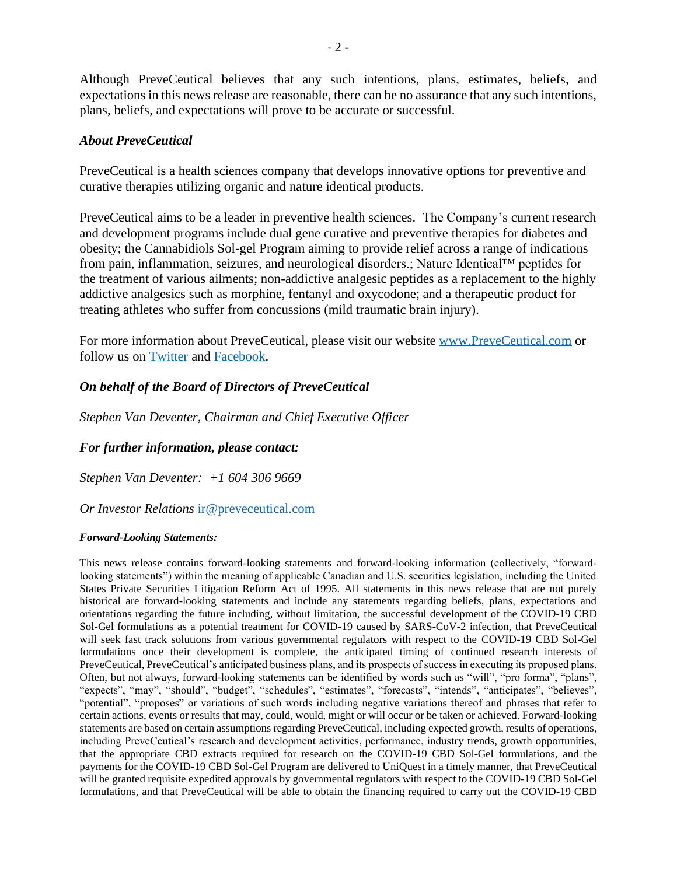Although PreveCeutical believes that any such intentions, plans, estimates, beliefs, and expectations in this news release are reasonable, there can be no assurance that any such intentions, plans, beliefs, and expectations will prove to be accurate or successful.

### *About PreveCeutical*

PreveCeutical is a health sciences company that develops innovative options for preventive and curative therapies utilizing organic and nature identical products.

PreveCeutical aims to be a leader in preventive health sciences. The Company's current research and development programs include dual gene curative and preventive therapies for diabetes and obesity; the Cannabidiols Sol-gel Program aiming to provide relief across a range of indications from pain, inflammation, seizures, and neurological disorders.; Nature Identical™ peptides for the treatment of various ailments; non-addictive analgesic peptides as a replacement to the highly addictive analgesics such as morphine, fentanyl and oxycodone; and a therapeutic product for treating athletes who suffer from concussions (mild traumatic brain injury).

For more information about PreveCeutical, please visit our website [www.PreveCeutical.com](http://www.preveceutical.com/) or follow us on [Twitter](http://twitter.com/PreveCeuticals) and [Facebook.](http://www.facebook.com/PreveCeutical)

## *On behalf of the Board of Directors of PreveCeutical*

*Stephen Van Deventer, Chairman and Chief Executive Officer*

### *For further information, please contact:*

*Stephen Van Deventer: +1 604 306 9669*

*Or Investor Relations* [ir@preveceutical.com](mailto:ir@preveceutical.com)

#### *Forward-Looking Statements:*

This news release contains forward-looking statements and forward-looking information (collectively, "forwardlooking statements") within the meaning of applicable Canadian and U.S. securities legislation, including the United States Private Securities Litigation Reform Act of 1995. All statements in this news release that are not purely historical are forward-looking statements and include any statements regarding beliefs, plans, expectations and orientations regarding the future including, without limitation, the successful development of the COVID-19 CBD Sol-Gel formulations as a potential treatment for COVID-19 caused by SARS-CoV-2 infection, that PreveCeutical will seek fast track solutions from various governmental regulators with respect to the COVID-19 CBD Sol-Gel formulations once their development is complete, the anticipated timing of continued research interests of PreveCeutical, PreveCeutical's anticipated business plans, and its prospects of success in executing its proposed plans. Often, but not always, forward-looking statements can be identified by words such as "will", "pro forma", "plans", "expects", "may", "should", "budget", "schedules", "estimates", "forecasts", "intends", "anticipates", "believes", "potential", "proposes" or variations of such words including negative variations thereof and phrases that refer to certain actions, events or results that may, could, would, might or will occur or be taken or achieved. Forward-looking statements are based on certain assumptions regarding PreveCeutical, including expected growth, results of operations, including PreveCeutical's research and development activities, performance, industry trends, growth opportunities, that the appropriate CBD extracts required for research on the COVID-19 CBD Sol-Gel formulations, and the payments for the COVID-19 CBD Sol-Gel Program are delivered to UniQuest in a timely manner, that PreveCeutical will be granted requisite expedited approvals by governmental regulators with respect to the COVID-19 CBD Sol-Gel formulations, and that PreveCeutical will be able to obtain the financing required to carry out the COVID-19 CBD